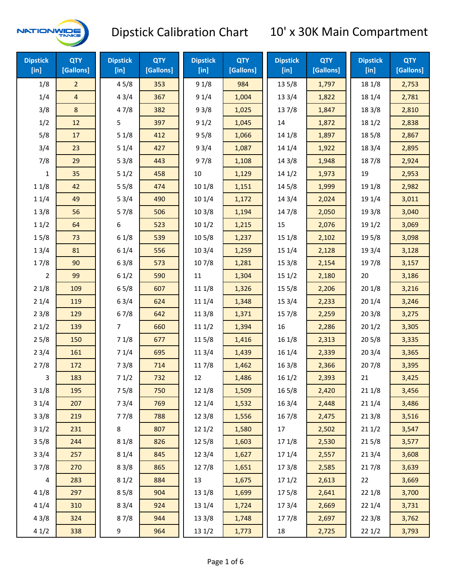

| <b>Dipstick</b><br>[in] | <b>QTY</b><br>[Gallons] | <b>Dipstick</b><br>[in] | <b>QTY</b><br>[Gallons] | <b>Dipstick</b><br>$[$ in] | <b>QTY</b><br>[Gallons] | <b>Dipstick</b><br>[in] | <b>QTY</b><br>[Gallons] | <b>Dipstick</b><br>[in] | <b>QTY</b><br>[Gallons] |
|-------------------------|-------------------------|-------------------------|-------------------------|----------------------------|-------------------------|-------------------------|-------------------------|-------------------------|-------------------------|
| 1/8                     | $\overline{2}$          | 45/8                    | 353                     | 91/8                       | 984                     | 135/8                   | 1,797                   | 18 1/8                  | 2,753                   |
| 1/4                     | $\overline{4}$          | 43/4                    | 367                     | 91/4                       | 1,004                   | 13 3/4                  | 1,822                   | 18 1/4                  | 2,781                   |
| 3/8                     | 8                       | 47/8                    | 382                     | 93/8                       | 1,025                   | 137/8                   | 1,847                   | 18 3/8                  | 2,810                   |
| 1/2                     | 12                      | 5                       | 397                     | 91/2                       | 1,045                   | 14                      | 1,872                   | 18 1/2                  | 2,838                   |
| 5/8                     | 17                      | 51/8                    | 412                     | 95/8                       | 1,066                   | 14 1/8                  | 1,897                   | 185/8                   | 2,867                   |
| 3/4                     | 23                      | 51/4                    | 427                     | 93/4                       | 1,087                   | 14 1/4                  | 1,922                   | 18 3/4                  | 2,895                   |
| 7/8                     | 29                      | 53/8                    | 443                     | 97/8                       | 1,108                   | 14 3/8                  | 1,948                   | 187/8                   | 2,924                   |
| 1                       | 35                      | 51/2                    | 458                     | 10                         | 1,129                   | 141/2                   | 1,973                   | 19                      | 2,953                   |
| 11/8                    | 42                      | 55/8                    | 474                     | 101/8                      | 1,151                   | 14 5/8                  | 1,999                   | 19 1/8                  | 2,982                   |
| 11/4                    | 49                      | 53/4                    | 490                     | 101/4                      | 1,172                   | 14 3/4                  | 2,024                   | 19 1/4                  | 3,011                   |
| 13/8                    | 56                      | 57/8                    | 506                     | 103/8                      | 1,194                   | 147/8                   | 2,050                   | 19 3/8                  | 3,040                   |
| 11/2                    | 64                      | 6                       | 523                     | 101/2                      | 1,215                   | 15                      | 2,076                   | 19 1/2                  | 3,069                   |
| 15/8                    | 73                      | 61/8                    | 539                     | 10 <sub>5</sub> /8         | 1,237                   | 15 1/8                  | 2,102                   | 19 5/8                  | 3,098                   |
| 13/4                    | 81                      | 61/4                    | 556                     | 103/4                      | 1,259                   | 15 1/4                  | 2,128                   | 19 3/4                  | 3,128                   |
| 17/8                    | 90                      | 63/8                    | 573                     | 107/8                      | 1,281                   | 15 3/8                  | 2,154                   | 197/8                   | 3,157                   |
| 2                       | 99                      | 61/2                    | 590                     | 11                         | 1,304                   | 151/2                   | 2,180                   | 20                      | 3,186                   |
| 21/8                    | 109                     | 65/8                    | 607                     | 11 1/8                     | 1,326                   | 15 5/8                  | 2,206                   | 201/8                   | 3,216                   |
| 21/4                    | 119                     | 63/4                    | 624                     | 11 1/4                     | 1,348                   | 153/4                   | 2,233                   | 20 1/4                  | 3,246                   |
| 23/8                    | 129                     | 67/8                    | 642                     | 11 3/8                     | 1,371                   | 15 7/8                  | 2,259                   | 203/8                   | 3,275                   |
| 21/2                    | 139                     | 7                       | 660                     | 111/2                      | 1,394                   | 16                      | 2,286                   | 201/2                   | 3,305                   |
| 25/8                    | 150                     | 71/8                    | 677                     | 11 5/8                     | 1,416                   | 161/8                   | 2,313                   | 205/8                   | 3,335                   |
| 23/4                    | 161                     | 71/4                    | 695                     | 113/4                      | 1,439                   | 16 1/4                  | 2,339                   | 203/4                   | 3,365                   |
| 27/8                    | 172                     | 73/8                    | 714                     | 117/8                      | 1,462                   | 163/8                   | 2,366                   | 207/8                   | 3,395                   |
| 3                       | 183                     | 71/2                    | 732                     | 12                         | 1,486                   | 161/2                   | 2,393                   | 21                      | 3,425                   |
| 31/8                    | 195                     | 75/8                    | 750                     | 12 1/8                     | 1,509                   | 16 5/8                  | 2,420                   | 21 1/8                  | 3,456                   |
| 31/4                    | 207                     | 73/4                    | 769                     | 12 1/4                     | 1,532                   | 16 3/4                  | 2,448                   | 21 1/4                  | 3,486                   |
| 33/8                    | 219                     | 77/8                    | 788                     | 12 3/8                     | 1,556                   | 16 7/8                  | 2,475                   | 213/8                   | 3,516                   |
| 31/2                    | 231                     | 8                       | 807                     | 12 1/2                     | 1,580                   | 17                      | 2,502                   | 211/2                   | 3,547                   |
| 35/8                    | 244                     | 81/8                    | 826                     | 12 5/8                     | 1,603                   | 17 1/8                  | 2,530                   | 215/8                   | 3,577                   |
| 33/4                    | 257                     | 81/4                    | 845                     | 12 3/4                     | 1,627                   | 17 1/4                  | 2,557                   | 213/4                   | 3,608                   |
| 37/8                    | 270                     | 83/8                    | 865                     | 12 7/8                     | 1,651                   | 173/8                   | 2,585                   | 217/8                   | 3,639                   |
| 4                       | 283                     | 81/2                    | 884                     | 13                         | 1,675                   | 171/2                   | 2,613                   | 22                      | 3,669                   |
| 41/8                    | 297                     | 85/8                    | 904                     | 13 1/8                     | 1,699                   | 175/8                   | 2,641                   | 22 1/8                  | 3,700                   |
| 41/4                    | 310                     | 83/4                    | 924                     | 13 1/4                     | 1,724                   | 17 3/4                  | 2,669                   | 22 1/4                  | 3,731                   |
| 43/8                    | 324                     | 87/8                    | 944                     | 13 3/8                     | 1,748                   | 177/8                   | 2,697                   | 22 3/8                  | 3,762                   |
| 41/2                    | 338                     | 9                       | 964                     | 13 1/2                     | 1,773                   | 18                      | 2,725                   | 221/2                   | 3,793                   |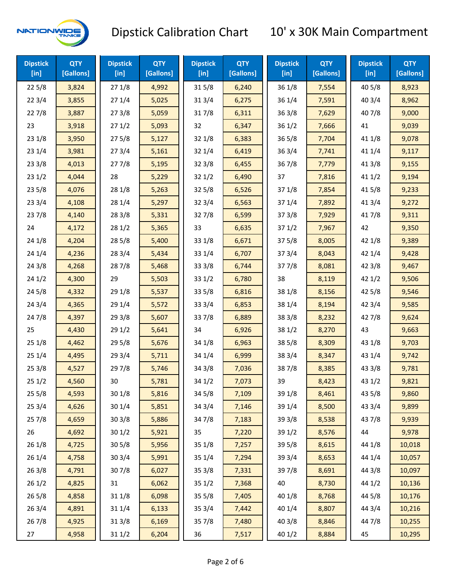

| <b>Dipstick</b><br>[in] | <b>QTY</b><br>[Gallons] | <b>Dipstick</b><br>$[$ in] | <b>QTY</b><br>[Gallons] | <b>Dipstick</b><br>$[$ in] | <b>QTY</b><br>[Gallons] | <b>Dipstick</b><br>$[$ in] | <b>QTY</b><br>[Gallons] | <b>Dipstick</b><br>$[$ in] | <b>QTY</b><br>[Gallons] |
|-------------------------|-------------------------|----------------------------|-------------------------|----------------------------|-------------------------|----------------------------|-------------------------|----------------------------|-------------------------|
| 225/8                   | 3,824                   | 271/8                      | 4,992                   | 315/8                      | 6,240                   | 36 1/8                     | 7,554                   | 40 5/8                     | 8,923                   |
| 223/4                   | 3,855                   | 271/4                      | 5,025                   | 31 3/4                     | 6,275                   | 36 1/4                     | 7,591                   | 403/4                      | 8,962                   |
| 227/8                   | 3,887                   | 273/8                      | 5,059                   | 317/8                      | 6,311                   | 363/8                      | 7,629                   | 407/8                      | 9,000                   |
| 23                      | 3,918                   | 271/2                      | 5,093                   | 32                         | 6,347                   | 361/2                      | 7,666                   | 41                         | 9,039                   |
| 231/8                   | 3,950                   | 275/8                      | 5,127                   | 321/8                      | 6,383                   | $36\,5/8$                  | 7,704                   | 41 1/8                     | 9,078                   |
| 231/4                   | 3,981                   | 273/4                      | 5,161                   | 321/4                      | 6,419                   | 363/4                      | 7,741                   | 41 1/4                     | 9,117                   |
| 23 3/8                  | 4,013                   | 277/8                      | 5,195                   | 323/8                      | 6,455                   | 36 7/8                     | 7,779                   | 413/8                      | 9,155                   |
| 231/2                   | 4,044                   | 28                         | 5,229                   | 321/2                      | 6,490                   | 37                         | 7,816                   | 411/2                      | 9,194                   |
| 235/8                   | 4,076                   | 28 1/8                     | 5,263                   | 325/8                      | 6,526                   | 371/8                      | 7,854                   | 41 5/8                     | 9,233                   |
| 233/4                   | 4,108                   | 28 1/4                     | 5,297                   | 32 3/4                     | 6,563                   | 37 1/4                     | 7,892                   | 41 3/4                     | 9,272                   |
| 237/8                   | 4,140                   | 28 3/8                     | 5,331                   | 327/8                      | 6,599                   | 373/8                      | 7,929                   | 417/8                      | 9,311                   |
| 24                      | 4,172                   | 281/2                      | 5,365                   | 33                         | 6,635                   | 371/2                      | 7,967                   | 42                         | 9,350                   |
| 24 1/8                  | 4,204                   | 28 5/8                     | 5,400                   | 33 1/8                     | 6,671                   | 375/8                      | 8,005                   | 42 1/8                     | 9,389                   |
| 241/4                   | 4,236                   | 28 3/4                     | 5,434                   | 33 1/4                     | 6,707                   | 373/4                      | 8,043                   | 42 1/4                     | 9,428                   |
| 243/8                   | 4,268                   | 287/8                      | 5,468                   | 33 3/8                     | 6,744                   | 377/8                      | 8,081                   | 42 3/8                     | 9,467                   |
| 241/2                   | 4,300                   | 29                         | 5,503                   | 331/2                      | 6,780                   | 38                         | 8,119                   | 421/2                      | 9,506                   |
| 245/8                   | 4,332                   | 29 1/8                     | 5,537                   | 33 5/8                     | 6,816                   | 38 1/8                     | 8,156                   | 42 5/8                     | 9,546                   |
| 24 3/4                  | 4,365                   | 29 1/4                     | 5,572                   | 33 3/4                     | 6,853                   | 38 1/4                     | 8,194                   | 42 3/4                     | 9,585                   |
| 24 7/8                  | 4,397                   | 29 3/8                     | 5,607                   | 337/8                      | 6,889                   | 38 3/8                     | 8,232                   | 42 7/8                     | 9,624                   |
| 25                      | 4,430                   | 29 1/2                     | 5,641                   | 34                         | 6,926                   | 38 1/2                     | 8,270                   | 43                         | 9,663                   |
| 251/8                   | 4,462                   | 29 5/8                     | 5,676                   | 34 1/8                     | 6,963                   | 385/8                      | 8,309                   | 43 1/8                     | 9,703                   |
| 251/4                   | 4,495                   | 29 3/4                     | 5,711                   | 34 1/4                     | 6,999                   | 38 3/4                     | 8,347                   | 43 1/4                     | 9,742                   |
| 253/8                   | 4,527                   | 297/8                      | 5,746                   | 34 3/8                     | 7,036                   | 387/8                      | 8,385                   | 43 3/8                     | 9,781                   |
| 251/2                   | 4,560                   | 30                         | 5,781                   | 34 1/2                     | 7,073                   | 39                         | 8,423                   | 43 1/2                     | 9,821                   |
| 255/8                   | 4,593                   | 30 1/8                     | 5,816                   | 34 5/8                     | 7,109                   | 39 1/8                     | 8,461                   | 43 5/8                     | 9,860                   |
| 253/4                   | 4,626                   | 30 1/4                     | 5,851                   | 34 3/4                     | 7,146                   | 39 1/4                     | 8,500                   | 43 3/4                     | 9,899                   |
| 257/8                   | 4,659                   | 303/8                      | 5,886                   | 347/8                      | 7,183                   | 39 3/8                     | 8,538                   | 437/8                      | 9,939                   |
| 26                      | 4,692                   | 301/2                      | 5,921                   | 35                         | 7,220                   | 39 1/2                     | 8,576                   | 44                         | 9,978                   |
| 26 1/8                  | 4,725                   | 30 5/8                     | 5,956                   | 35 1/8                     | 7,257                   | 39 5/8                     | 8,615                   | 44 1/8                     | 10,018                  |
| 26 1/4                  | 4,758                   | 30 3/4                     | 5,991                   | 35 1/4                     | 7,294                   | 39 3/4                     | 8,653                   | 44 1/4                     | 10,057                  |
| 263/8                   | 4,791                   | 307/8                      | 6,027                   | 35 3/8                     | 7,331                   | 397/8                      | 8,691                   | 44 3/8                     | 10,097                  |
| 261/2                   | 4,825                   | 31                         | 6,062                   | 351/2                      | 7,368                   | 40                         | 8,730                   | 44 1/2                     | 10,136                  |
| 265/8                   | 4,858                   | 31 1/8                     | 6,098                   | 35 5/8                     | 7,405                   | 40 1/8                     | 8,768                   | 44 5/8                     | 10,176                  |
| 263/4                   | 4,891                   | 31 1/4                     | 6,133                   | 35 3/4                     | 7,442                   | 40 1/4                     | 8,807                   | 44 3/4                     | 10,216                  |
| 267/8                   | 4,925                   | 31 3/8                     | 6,169                   | 357/8                      | 7,480                   | 40 3/8                     | 8,846                   | 447/8                      | 10,255                  |
| 27                      | 4,958                   | 31 1/2                     | 6,204                   | 36                         | 7,517                   | 40 1/2                     | 8,884                   | 45                         | 10,295                  |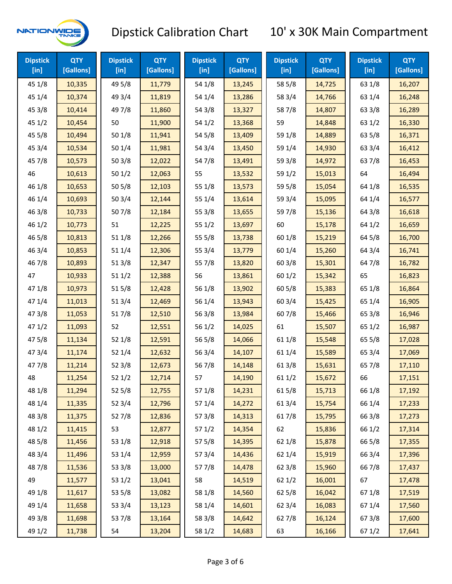

| <b>Dipstick</b><br>$[$ in] | <b>QTY</b><br>[Gallons] | <b>Dipstick</b><br>$[$ in] | <b>QTY</b><br>[Gallons] | <b>Dipstick</b><br>$[$ in] | <b>QTY</b><br>[Gallons] | <b>Dipstick</b><br>$[$ in] | <b>QTY</b><br>[Gallons] | <b>Dipstick</b><br>$[$ in] | <b>QTY</b><br>[Gallons] |
|----------------------------|-------------------------|----------------------------|-------------------------|----------------------------|-------------------------|----------------------------|-------------------------|----------------------------|-------------------------|
| 45 1/8                     | 10,335                  | 49 5/8                     | 11,779                  | 54 1/8                     | 13,245                  | 58 5/8                     | 14,725                  | 63 1/8                     | 16,207                  |
| 45 1/4                     | 10,374                  | 49 3/4                     | 11,819                  | 54 1/4                     | 13,286                  | 58 3/4                     | 14,766                  | 63 1/4                     | 16,248                  |
| 45 3/8                     | 10,414                  | 49 7/8                     | 11,860                  | 54 3/8                     | 13,327                  | 587/8                      | 14,807                  | 63 3/8                     | 16,289                  |
| 45 1/2                     | 10,454                  | 50                         | 11,900                  | 54 1/2                     | 13,368                  | 59                         | 14,848                  | 63 1/2                     | 16,330                  |
| 45 5/8                     | 10,494                  | 50 1/8                     | 11,941                  | 54 5/8                     | 13,409                  | 59 1/8                     | 14,889                  | 63 5/8                     | 16,371                  |
| 45 3/4                     | 10,534                  | 501/4                      | 11,981                  | 54 3/4                     | 13,450                  | 59 1/4                     | 14,930                  | 63 3/4                     | 16,412                  |
| 45 7/8                     | 10,573                  | 503/8                      | 12,022                  | 54 7/8                     | 13,491                  | 59 3/8                     | 14,972                  | 637/8                      | 16,453                  |
| 46                         | 10,613                  | 501/2                      | 12,063                  | 55                         | 13,532                  | 59 1/2                     | 15,013                  | 64                         | 16,494                  |
| 46 1/8                     | 10,653                  | 505/8                      | 12,103                  | 55 1/8                     | 13,573                  | 59 5/8                     | 15,054                  | 64 1/8                     | 16,535                  |
| 46 1/4                     | 10,693                  | 503/4                      | 12,144                  | 55 1/4                     | 13,614                  | 59 3/4                     | 15,095                  | 64 1/4                     | 16,577                  |
| 463/8                      | 10,733                  | 507/8                      | 12,184                  | 55 3/8                     | 13,655                  | 59 7/8                     | 15,136                  | 64 3/8                     | 16,618                  |
| 46 1/2                     | 10,773                  | 51                         | 12,225                  | 55 1/2                     | 13,697                  | 60                         | 15,178                  | 64 1/2                     | 16,659                  |
| 46 5/8                     | 10,813                  | 51 1/8                     | 12,266                  | 55 5/8                     | 13,738                  | 60 1/8                     | 15,219                  | 64 5/8                     | 16,700                  |
| 46 3/4                     | 10,853                  | 51 1/4                     | 12,306                  | 55 3/4                     | 13,779                  | 60 1/4                     | 15,260                  | 64 3/4                     | 16,741                  |
| 467/8                      | 10,893                  | 513/8                      | 12,347                  | 55 7/8                     | 13,820                  | 603/8                      | 15,301                  | 64 7/8                     | 16,782                  |
| 47                         | 10,933                  | 511/2                      | 12,388                  | 56                         | 13,861                  | 601/2                      | 15,342                  | 65                         | 16,823                  |
| 47 1/8                     | 10,973                  | 515/8                      | 12,428                  | 56 1/8                     | 13,902                  | 60 5/8                     | 15,383                  | 65 1/8                     | 16,864                  |
| 47 1/4                     | 11,013                  | 51 3/4                     | 12,469                  | 56 1/4                     | 13,943                  | 603/4                      | 15,425                  | 65 1/4                     | 16,905                  |
| 47 3/8                     | 11,053                  | 517/8                      | 12,510                  | 563/8                      | 13,984                  | 60 7/8                     | 15,466                  | 65 3/8                     | 16,946                  |
| 47 1/2                     | 11,093                  | 52                         | 12,551                  | 56 1/2                     | 14,025                  | 61                         | 15,507                  | 65 1/2                     | 16,987                  |
| 475/8                      | 11,134                  | 52 1/8                     | 12,591                  | 56 5/8                     | 14,066                  | 61 1/8                     | 15,548                  | 65 5/8                     | 17,028                  |
| 47 3/4                     | 11,174                  | 52 1/4                     | 12,632                  | 56 3/4                     | 14,107                  | 61 1/4                     | 15,589                  | 65 3/4                     | 17,069                  |
| 477/8                      | 11,214                  | 52 3/8                     | 12,673                  | 567/8                      | 14,148                  | 61 3/8                     | 15,631                  | 65 7/8                     | 17,110                  |
| 48                         | 11,254                  | 521/2                      | 12,714                  | 57                         | 14,190                  | 611/2                      | 15,672                  | 66                         | 17,151                  |
| 48 1/8                     | 11,294                  | 52 5/8                     | 12,755                  | 57 1/8                     | 14,231                  | 615/8                      | 15,713                  | 66 1/8                     | 17,192                  |
| 48 1/4                     | 11,335                  | 52 3/4                     | 12,796                  | 57 1/4                     | 14,272                  | 61 3/4                     | 15,754                  | 66 1/4                     | 17,233                  |
| 48 3/8                     | 11,375                  | 527/8                      | 12,836                  | 57 3/8                     | 14,313                  | 617/8                      | 15,795                  | 66 3/8                     | 17,273                  |
| 48 1/2                     | 11,415                  | 53                         | 12,877                  | 57 1/2                     | 14,354                  | 62                         | 15,836                  | 66 1/2                     | 17,314                  |
| 48 5/8                     | 11,456                  | 53 1/8                     | 12,918                  | 57 5/8                     | 14,395                  | 62 1/8                     | 15,878                  | 66 5/8                     | 17,355                  |
| 48 3/4                     | 11,496                  | 53 1/4                     | 12,959                  | 573/4                      | 14,436                  | 62 1/4                     | 15,919                  | 66 3/4                     | 17,396                  |
| 487/8                      | 11,536                  | 53 3/8                     | 13,000                  | 577/8                      | 14,478                  | 62 3/8                     | 15,960                  | 667/8                      | 17,437                  |
| 49                         | 11,577                  | 53 1/2                     | 13,041                  | 58                         | 14,519                  | 621/2                      | 16,001                  | 67                         | 17,478                  |
| 49 1/8                     | 11,617                  | 53 5/8                     | 13,082                  | 58 1/8                     | 14,560                  | 62 5/8                     | 16,042                  | 671/8                      | 17,519                  |
| 49 1/4                     | 11,658                  | 53 3/4                     | 13,123                  | 58 1/4                     | 14,601                  | 62 3/4                     | 16,083                  | 671/4                      | 17,560                  |
| 49 3/8                     | 11,698                  | 537/8                      | 13,164                  | 58 3/8                     | 14,642                  | 627/8                      | 16,124                  | 673/8                      | 17,600                  |
| 49 1/2                     | 11,738                  | 54                         | 13,204                  | 58 1/2                     | 14,683                  | 63                         | 16,166                  | 67 1/2                     | 17,641                  |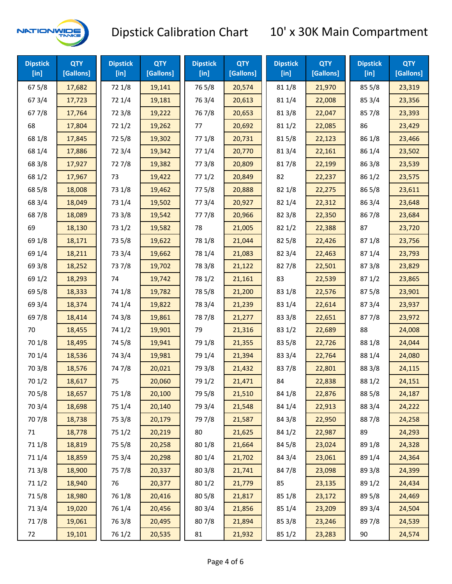

| <b>Dipstick</b><br>[in] | <b>QTY</b><br>[Gallons] | <b>Dipstick</b><br>[in] | <b>QTY</b><br>[Gallons] | <b>Dipstick</b><br>[in] | <b>QTY</b><br>[Gallons] | <b>Dipstick</b><br>$[$ in] | <b>QTY</b><br>[Gallons] | <b>Dipstick</b><br>$[$ in] | <b>QTY</b><br>[Gallons] |
|-------------------------|-------------------------|-------------------------|-------------------------|-------------------------|-------------------------|----------------------------|-------------------------|----------------------------|-------------------------|
| 67 5/8                  | 17,682                  | 72 1/8                  | 19,141                  | 765/8                   | 20,574                  | 81 1/8                     | 21,970                  | 85 5/8                     | 23,319                  |
| 67 3/4                  | 17,723                  | 72 1/4                  | 19,181                  | 763/4                   | 20,613                  | 81 1/4                     | 22,008                  | 85 3/4                     | 23,356                  |
| 677/8                   | 17,764                  | 72 3/8                  | 19,222                  | 767/8                   | 20,653                  | 81 3/8                     | 22,047                  | 857/8                      | 23,393                  |
| 68                      | 17,804                  | 721/2                   | 19,262                  | 77                      | 20,692                  | 81 1/2                     | 22,085                  | 86                         | 23,429                  |
| 68 1/8                  | 17,845                  | 725/8                   | 19,302                  | 77 1/8                  | 20,731                  | 815/8                      | 22,123                  | 86 1/8                     | 23,466                  |
| 68 1/4                  | 17,886                  | 72 3/4                  | 19,342                  | 77 1/4                  | 20,770                  | 813/4                      | 22,161                  | 86 1/4                     | 23,502                  |
| 68 3/8                  | 17,927                  | 727/8                   | 19,382                  | 77 3/8                  | 20,809                  | 817/8                      | 22,199                  | 86 3/8                     | 23,539                  |
| 68 1/2                  | 17,967                  | 73                      | 19,422                  | 771/2                   | 20,849                  | 82                         | 22,237                  | 86 1/2                     | 23,575                  |
| 68 5/8                  | 18,008                  | 73 1/8                  | 19,462                  | 775/8                   | 20,888                  | 82 1/8                     | 22,275                  | 86 5/8                     | 23,611                  |
| 68 3/4                  | 18,049                  | 73 1/4                  | 19,502                  | 773/4                   | 20,927                  | 82 1/4                     | 22,312                  | 863/4                      | 23,648                  |
| 687/8                   | 18,089                  | 73 3/8                  | 19,542                  | 777/8                   | 20,966                  | 82 3/8                     | 22,350                  | 867/8                      | 23,684                  |
| 69                      | 18,130                  | 73 1/2                  | 19,582                  | 78                      | 21,005                  | 82 1/2                     | 22,388                  | 87                         | 23,720                  |
| 69 1/8                  | 18,171                  | 73 5/8                  | 19,622                  | 78 1/8                  | 21,044                  | 82 5/8                     | 22,426                  | 871/8                      | 23,756                  |
| 69 1/4                  | 18,211                  | 73 3/4                  | 19,662                  | 78 1/4                  | 21,083                  | 82 3/4                     | 22,463                  | 871/4                      | 23,793                  |
| 69 3/8                  | 18,252                  | 737/8                   | 19,702                  | 78 3/8                  | 21,122                  | 827/8                      | 22,501                  | 873/8                      | 23,829                  |
| 69 1/2                  | 18,293                  | 74                      | 19,742                  | 78 1/2                  | 21,161                  | 83                         | 22,539                  | 871/2                      | 23,865                  |
| 69 5/8                  | 18,333                  | 74 1/8                  | 19,782                  | 78 5/8                  | 21,200                  | 83 1/8                     | 22,576                  | 875/8                      | 23,901                  |
| 69 3/4                  | 18,374                  | 74 1/4                  | 19,822                  | 78 3/4                  | 21,239                  | 83 1/4                     | 22,614                  | 87 3/4                     | 23,937                  |
| 697/8                   | 18,414                  | 74 3/8                  | 19,861                  | 787/8                   | 21,277                  | 83 3/8                     | 22,651                  | 877/8                      | 23,972                  |
| 70                      | 18,455                  | 74 1/2                  | 19,901                  | 79                      | 21,316                  | 83 1/2                     | 22,689                  | 88                         | 24,008                  |
| 70 1/8                  | 18,495                  | 74 5/8                  | 19,941                  | 79 1/8                  | 21,355                  | 83 5/8                     | 22,726                  | 88 1/8                     | 24,044                  |
| 70 1/4                  | 18,536                  | 74 3/4                  | 19,981                  | 79 1/4                  | 21,394                  | 83 3/4                     | 22,764                  | 88 1/4                     | 24,080                  |
| 70 3/8                  | 18,576                  | 747/8                   | 20,021                  | 79 3/8                  | 21,432                  | 837/8                      | 22,801                  | 88 3/8                     | 24,115                  |
| 70 1/2                  | 18,617                  | 75                      | 20,060                  | 79 1/2                  | 21,471                  | 84                         | 22,838                  | 88 1/2                     | 24,151                  |
| 70 5/8                  | 18,657                  | 75 1/8                  | 20,100                  | 79 5/8                  | 21,510                  | 84 1/8                     | 22,876                  | 88 5/8                     | 24,187                  |
| 70 3/4                  | 18,698                  | 75 1/4                  | 20,140                  | 79 3/4                  | 21,548                  | 84 1/4                     | 22,913                  | 88 3/4                     | 24,222                  |
| 70 7/8                  | 18,738                  | 75 3/8                  | 20,179                  | 79 7/8                  | 21,587                  | 84 3/8                     | 22,950                  | 887/8                      | 24,258                  |
| 71                      | 18,778                  | 75 1/2                  | 20,219                  | 80                      | 21,625                  | 84 1/2                     | 22,987                  | 89                         | 24,293                  |
| 71 1/8                  | 18,819                  | 75 5/8                  | 20,258                  | 80 1/8                  | 21,664                  | 84 5/8                     | 23,024                  | 89 1/8                     | 24,328                  |
| 71 1/4                  | 18,859                  | 75 3/4                  | 20,298                  | 80 1/4                  | 21,702                  | 84 3/4                     | 23,061                  | 89 1/4                     | 24,364                  |
| 713/8                   | 18,900                  | 75 7/8                  | 20,337                  | 80 3/8                  | 21,741                  | 847/8                      | 23,098                  | 89 3/8                     | 24,399                  |
| 71 1/2                  | 18,940                  | 76                      | 20,377                  | 80 1/2                  | 21,779                  | 85                         | 23,135                  | 89 1/2                     | 24,434                  |
| 715/8                   | 18,980                  | 76 1/8                  | 20,416                  | 80 5/8                  | 21,817                  | 85 1/8                     | 23,172                  | 89 5/8                     | 24,469                  |
| 713/4                   | 19,020                  | 76 1/4                  | 20,456                  | 80 3/4                  | 21,856                  | 85 1/4                     | 23,209                  | 89 3/4                     | 24,504                  |
| 717/8                   | 19,061                  | 763/8                   | 20,495                  | 807/8                   | 21,894                  | 85 3/8                     | 23,246                  | 897/8                      | 24,539                  |
| 72                      | 19,101                  | 76 1/2                  | 20,535                  | 81                      | 21,932                  | 85 1/2                     | 23,283                  | 90                         | 24,574                  |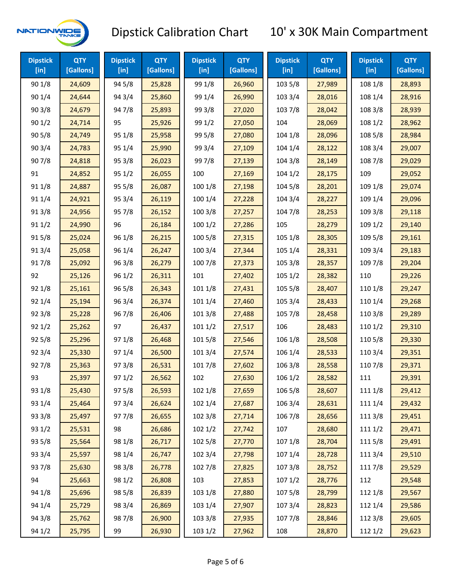

| <b>Dipstick</b><br>[in] | <b>QTY</b><br>[Gallons] | <b>Dipstick</b><br>[in] | <b>QTY</b><br>[Gallons] | <b>Dipstick</b><br>$[$ in] | <b>QTY</b><br>[Gallons] | <b>Dipstick</b><br>$[$ in] | <b>QTY</b><br>[Gallons] | <b>Dipstick</b><br>[in] | <b>QTY</b><br>[Gallons] |
|-------------------------|-------------------------|-------------------------|-------------------------|----------------------------|-------------------------|----------------------------|-------------------------|-------------------------|-------------------------|
| 90 1/8                  | 24,609                  | 94 5/8                  | 25,828                  | 99 1/8                     | 26,960                  | 103 5/8                    | 27,989                  | 108 1/8                 | 28,893                  |
| 90 1/4                  | 24,644                  | 94 3/4                  | 25,860                  | 99 1/4                     | 26,990                  | 103 3/4                    | 28,016                  | 108 1/4                 | 28,916                  |
| 90 3/8                  | 24,679                  | 947/8                   | 25,893                  | 99 3/8                     | 27,020                  | 103 7/8                    | 28,042                  | 108 3/8                 | 28,939                  |
| 90 1/2                  | 24,714                  | 95                      | 25,926                  | 99 1/2                     | 27,050                  | 104                        | 28,069                  | 108 1/2                 | 28,962                  |
| 90 5/8                  | 24,749                  | 95 1/8                  | 25,958                  | 99 5/8                     | 27,080                  | 104 1/8                    | 28,096                  | 108 5/8                 | 28,984                  |
| 90 3/4                  | 24,783                  | 95 1/4                  | 25,990                  | 99 3/4                     | 27,109                  | 104 1/4                    | 28,122                  | 108 3/4                 | 29,007                  |
| 907/8                   | 24,818                  | 95 3/8                  | 26,023                  | 997/8                      | 27,139                  | 104 3/8                    | 28,149                  | 108 7/8                 | 29,029                  |
| 91                      | 24,852                  | 95 1/2                  | 26,055                  | 100                        | 27,169                  | 1041/2                     | 28,175                  | 109                     | 29,052                  |
| 91 1/8                  | 24,887                  | 95 5/8                  | 26,087                  | 100 1/8                    | 27,198                  | 104 5/8                    | 28,201                  | 109 1/8                 | 29,074                  |
| 91 1/4                  | 24,921                  | 95 3/4                  | 26,119                  | 100 1/4                    | 27,228                  | 104 3/4                    | 28,227                  | 109 1/4                 | 29,096                  |
| 913/8                   | 24,956                  | 95 7/8                  | 26,152                  | 100 3/8                    | 27,257                  | 104 7/8                    | 28,253                  | 109 3/8                 | 29,118                  |
| 91 1/2                  | 24,990                  | 96                      | 26,184                  | 1001/2                     | 27,286                  | 105                        | 28,279                  | 109 1/2                 | 29,140                  |
| 915/8                   | 25,024                  | 96 1/8                  | 26,215                  | 100 5/8                    | 27,315                  | 105 1/8                    | 28,305                  | 109 5/8                 | 29,161                  |
| 913/4                   | 25,058                  | 96 1/4                  | 26,247                  | 100 3/4                    | 27,344                  | 105 1/4                    | 28,331                  | 109 3/4                 | 29,183                  |
| 917/8                   | 25,092                  | 96 3/8                  | 26,279                  | 100 7/8                    | 27,373                  | 105 3/8                    | 28,357                  | 109 7/8                 | 29,204                  |
| 92                      | 25,126                  | 96 1/2                  | 26,311                  | 101                        | 27,402                  | 105 1/2                    | 28,382                  | 110                     | 29,226                  |
| 92 1/8                  | 25,161                  | 96 5/8                  | 26,343                  | 101 1/8                    | 27,431                  | 105 5/8                    | 28,407                  | 110 1/8                 | 29,247                  |
| 92 1/4                  | 25,194                  | 963/4                   | 26,374                  | 101 1/4                    | 27,460                  | 105 3/4                    | 28,433                  | 110 1/4                 | 29,268                  |
| 92 3/8                  | 25,228                  | 967/8                   | 26,406                  | 1013/8                     | 27,488                  | 105 7/8                    | 28,458                  | 110 3/8                 | 29,289                  |
| 92 1/2                  | 25,262                  | 97                      | 26,437                  | 1011/2                     | 27,517                  | 106                        | 28,483                  | 110 1/2                 | 29,310                  |
| 92 5/8                  | 25,296                  | 97 1/8                  | 26,468                  | 101 5/8                    | 27,546                  | 106 1/8                    | 28,508                  | 110 5/8                 | 29,330                  |
| 92 3/4                  | 25,330                  | 97 1/4                  | 26,500                  | 101 3/4                    | 27,574                  | 106 1/4                    | 28,533                  | 110 3/4                 | 29,351                  |
| 927/8                   | 25,363                  | 973/8                   | 26,531                  | 101 7/8                    | 27,602                  | 106 3/8                    | 28,558                  | 110 7/8                 | 29,371                  |
| 93                      | 25,397                  | 97 1/2                  | 26,562                  | 102                        | 27,630                  | 1061/2                     | 28,582                  | 111                     | 29,391                  |
| 93 1/8                  | 25,430                  | 97 5/8                  | 26,593                  | 102 1/8                    | 27,659                  | 106 5/8                    | 28,607                  | 111 1/8                 | 29,412                  |
| 93 1/4                  | 25,464                  | 973/4                   | 26,624                  | 102 1/4                    | 27,687                  | 106 3/4                    | 28,631                  | 111 1/4                 | 29,432                  |
| 93 3/8                  | 25,497                  | 977/8                   | 26,655                  | 102 3/8                    | 27,714                  | 106 7/8                    | 28,656                  | 111 3/8                 | 29,451                  |
| 93 1/2                  | 25,531                  | 98                      | 26,686                  | 102 1/2                    | 27,742                  | 107                        | 28,680                  | 111 1/2                 | 29,471                  |
| 93 5/8                  | 25,564                  | 98 1/8                  | 26,717                  | 102 5/8                    | 27,770                  | 107 1/8                    | 28,704                  | 1115/8                  | 29,491                  |
| 93 3/4                  | 25,597                  | 98 1/4                  | 26,747                  | 102 3/4                    | 27,798                  | 107 1/4                    | 28,728                  | 111 3/4                 | 29,510                  |
| 937/8                   | 25,630                  | 98 3/8                  | 26,778                  | 102 7/8                    | 27,825                  | 1073/8                     | 28,752                  | 111 7/8                 | 29,529                  |
| 94                      | 25,663                  | 98 1/2                  | 26,808                  | 103                        | 27,853                  | 1071/2                     | 28,776                  | 112                     | 29,548                  |
| 94 1/8                  | 25,696                  | 98 5/8                  | 26,839                  | 103 1/8                    | 27,880                  | 1075/8                     | 28,799                  | 112 1/8                 | 29,567                  |
| 94 1/4                  | 25,729                  | 98 3/4                  | 26,869                  | 103 1/4                    | 27,907                  | 107 3/4                    | 28,823                  | 112 1/4                 | 29,586                  |
| 94 3/8                  | 25,762                  | 987/8                   | 26,900                  | 103 3/8                    | 27,935                  | 1077/8                     | 28,846                  | 112 3/8                 | 29,605                  |
| 94 1/2                  | 25,795                  | 99                      | 26,930                  | 103 1/2                    | 27,962                  | 108                        | 28,870                  | 112 1/2                 | 29,623                  |